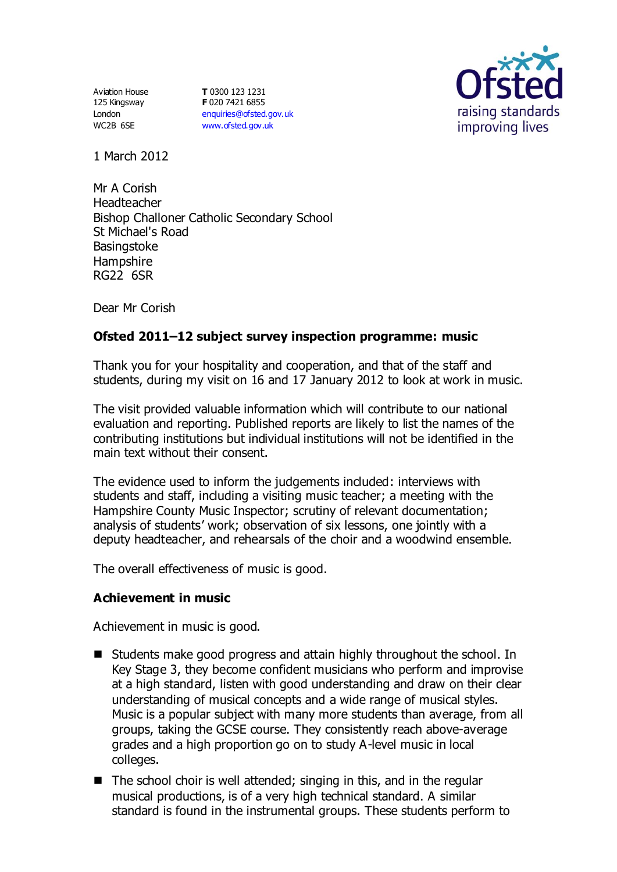Aviation House 125 Kingsway London WC2B 6SE

**T** 0300 123 1231 **F** 020 7421 6855 [enquiries@ofsted.gov.uk](mailto:enquiries@ofsted.gov.uk) [www.ofsted.gov.uk](http://www.ofsted.gov.uk/)



1 March 2012

Mr A Corish Headteacher Bishop Challoner Catholic Secondary School St Michael's Road **Basingstoke Hampshire** RG22 6SR

Dear Mr Corish

# **Ofsted 2011–12 subject survey inspection programme: music**

Thank you for your hospitality and cooperation, and that of the staff and students, during my visit on 16 and 17 January 2012 to look at work in music.

The visit provided valuable information which will contribute to our national evaluation and reporting. Published reports are likely to list the names of the contributing institutions but individual institutions will not be identified in the main text without their consent.

The evidence used to inform the judgements included: interviews with students and staff, including a visiting music teacher; a meeting with the Hampshire County Music Inspector; scrutiny of relevant documentation; analysis of students' work; observation of six lessons, one jointly with a deputy headteacher, and rehearsals of the choir and a woodwind ensemble.

The overall effectiveness of music is good.

## **Achievement in music**

Achievement in music is good.

- Students make good progress and attain highly throughout the school. In Key Stage 3, they become confident musicians who perform and improvise at a high standard, listen with good understanding and draw on their clear understanding of musical concepts and a wide range of musical styles. Music is a popular subject with many more students than average, from all groups, taking the GCSE course. They consistently reach above-average grades and a high proportion go on to study A-level music in local colleges.
- $\blacksquare$  The school choir is well attended; singing in this, and in the regular musical productions, is of a very high technical standard. A similar standard is found in the instrumental groups. These students perform to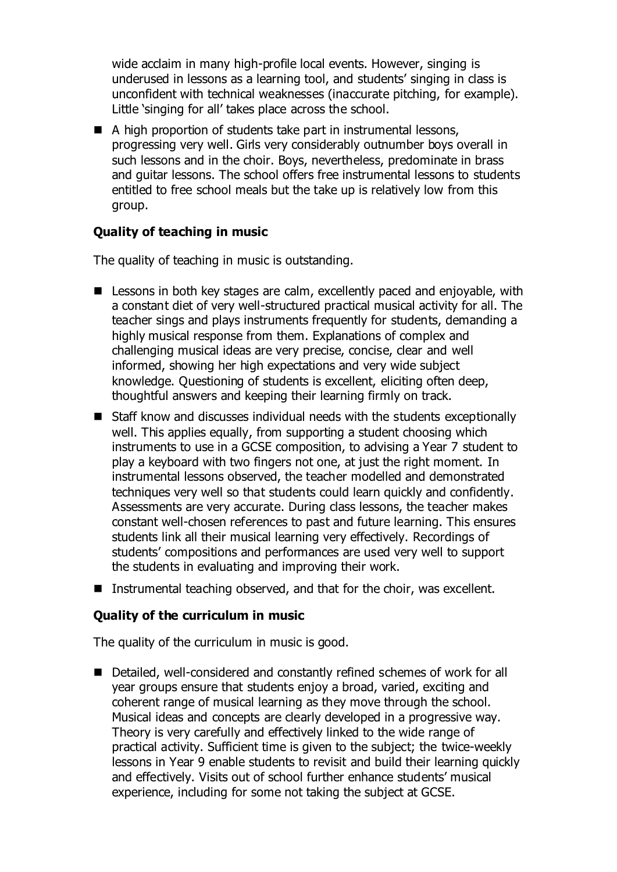wide acclaim in many high-profile local events. However, singing is underused in lessons as a learning tool, and students' singing in class is unconfident with technical weaknesses (inaccurate pitching, for example). Little 'singing for all' takes place across the school.

 $\blacksquare$  A high proportion of students take part in instrumental lessons, progressing very well. Girls very considerably outnumber boys overall in such lessons and in the choir. Boys, nevertheless, predominate in brass and guitar lessons. The school offers free instrumental lessons to students entitled to free school meals but the take up is relatively low from this group.

# **Quality of teaching in music**

The quality of teaching in music is outstanding.

- Lessons in both key stages are calm, excellently paced and enjoyable, with a constant diet of very well-structured practical musical activity for all. The teacher sings and plays instruments frequently for students, demanding a highly musical response from them. Explanations of complex and challenging musical ideas are very precise, concise, clear and well informed, showing her high expectations and very wide subject knowledge. Questioning of students is excellent, eliciting often deep, thoughtful answers and keeping their learning firmly on track.
- Staff know and discusses individual needs with the students exceptionally well. This applies equally, from supporting a student choosing which instruments to use in a GCSE composition, to advising a Year 7 student to play a keyboard with two fingers not one, at just the right moment. In instrumental lessons observed, the teacher modelled and demonstrated techniques very well so that students could learn quickly and confidently. Assessments are very accurate. During class lessons, the teacher makes constant well-chosen references to past and future learning. This ensures students link all their musical learning very effectively. Recordings of students' compositions and performances are used very well to support the students in evaluating and improving their work.
- Instrumental teaching observed, and that for the choir, was excellent.

## **Quality of the curriculum in music**

The quality of the curriculum in music is good.

■ Detailed, well-considered and constantly refined schemes of work for all year groups ensure that students enjoy a broad, varied, exciting and coherent range of musical learning as they move through the school. Musical ideas and concepts are clearly developed in a progressive way. Theory is very carefully and effectively linked to the wide range of practical activity. Sufficient time is given to the subject; the twice-weekly lessons in Year 9 enable students to revisit and build their learning quickly and effectively. Visits out of school further enhance students' musical experience, including for some not taking the subject at GCSE.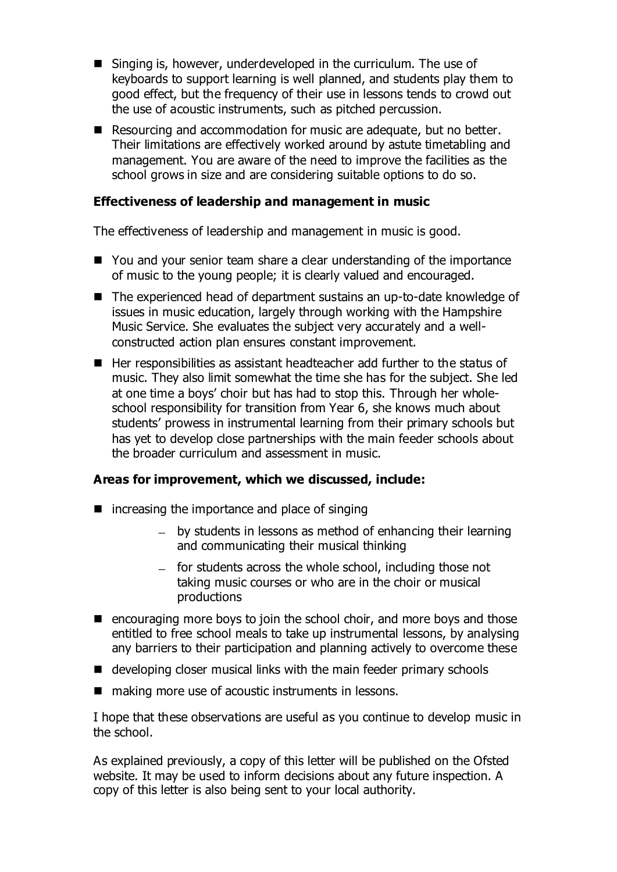- Singing is, however, underdeveloped in the curriculum. The use of keyboards to support learning is well planned, and students play them to good effect, but the frequency of their use in lessons tends to crowd out the use of acoustic instruments, such as pitched percussion.
- Resourcing and accommodation for music are adequate, but no better. Their limitations are effectively worked around by astute timetabling and management. You are aware of the need to improve the facilities as the school grows in size and are considering suitable options to do so.

#### **Effectiveness of leadership and management in music**

The effectiveness of leadership and management in music is good.

- You and your senior team share a clear understanding of the importance of music to the young people; it is clearly valued and encouraged.
- The experienced head of department sustains an up-to-date knowledge of issues in music education, largely through working with the Hampshire Music Service. She evaluates the subject very accurately and a wellconstructed action plan ensures constant improvement.
- Her responsibilities as assistant headteacher add further to the status of music. They also limit somewhat the time she has for the subject. She led at one time a boys' choir but has had to stop this. Through her wholeschool responsibility for transition from Year 6, she knows much about students' prowess in instrumental learning from their primary schools but has yet to develop close partnerships with the main feeder schools about the broader curriculum and assessment in music.

## **Areas for improvement, which we discussed, include:**

- $\blacksquare$  increasing the importance and place of singing
	- by students in lessons as method of enhancing their learning and communicating their musical thinking
	- $-$  for students across the whole school, including those not taking music courses or who are in the choir or musical productions
- $\blacksquare$  encouraging more boys to join the school choir, and more boys and those entitled to free school meals to take up instrumental lessons, by analysing any barriers to their participation and planning actively to overcome these
- developing closer musical links with the main feeder primary schools
- making more use of acoustic instruments in lessons.

I hope that these observations are useful as you continue to develop music in the school.

As explained previously, a copy of this letter will be published on the Ofsted website. It may be used to inform decisions about any future inspection. A copy of this letter is also being sent to your local authority.